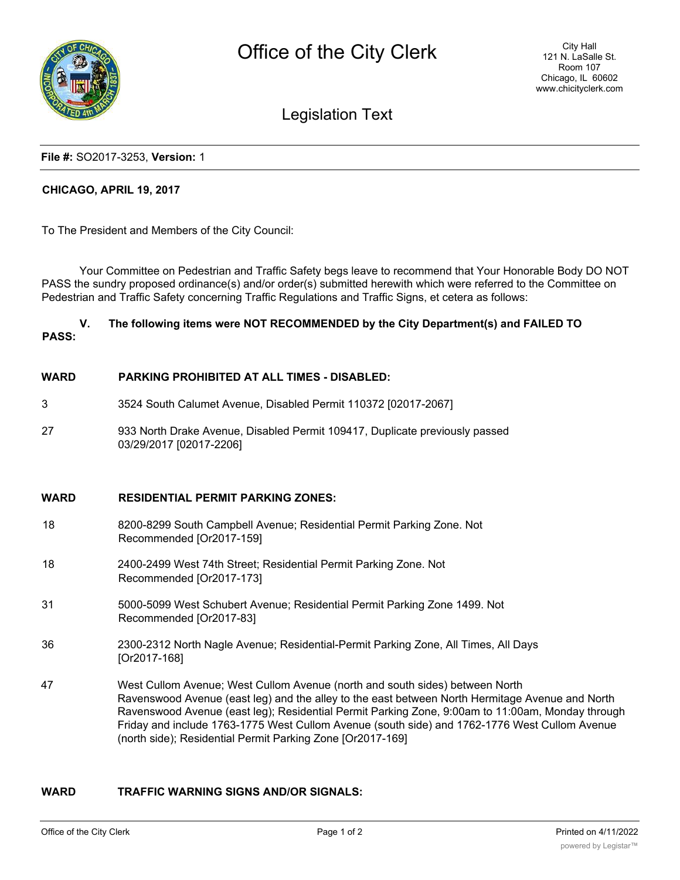

# Legislation Text

#### **File #:** SO2017-3253, **Version:** 1

# **CHICAGO, APRIL 19, 2017**

To The President and Members of the City Council:

Your Committee on Pedestrian and Traffic Safety begs leave to recommend that Your Honorable Body DO NOT PASS the sundry proposed ordinance(s) and/or order(s) submitted herewith which were referred to the Committee on Pedestrian and Traffic Safety concerning Traffic Regulations and Traffic Signs, et cetera as follows:

# **V. The following items were NOT RECOMMENDED by the City Department(s) and FAILED TO PASS:**

#### **WARD PARKING PROHIBITED AT ALL TIMES - DISABLED:**

- 3 3524 South Calumet Avenue, Disabled Permit 110372 [02017-2067]
- 27 933 North Drake Avenue, Disabled Permit 109417, Duplicate previously passed 03/29/2017 [02017-2206]

## **WARD RESIDENTIAL PERMIT PARKING ZONES:**

- 18 8200-8299 South Campbell Avenue; Residential Permit Parking Zone. Not Recommended [Or2017-159]
- 18 2400-2499 West 74th Street; Residential Permit Parking Zone. Not Recommended [Or2017-173]
- 31 5000-5099 West Schubert Avenue; Residential Permit Parking Zone 1499. Not Recommended [Or2017-83]
- 36 2300-2312 North Nagle Avenue; Residential-Permit Parking Zone, All Times, All Days [Or2017-168]
- 47 West Cullom Avenue; West Cullom Avenue (north and south sides) between North Ravenswood Avenue (east leg) and the alley to the east between North Hermitage Avenue and North Ravenswood Avenue (east leg); Residential Permit Parking Zone, 9:00am to 11:00am, Monday through Friday and include 1763-1775 West Cullom Avenue (south side) and 1762-1776 West Cullom Avenue (north side); Residential Permit Parking Zone [Or2017-169]

# **WARD TRAFFIC WARNING SIGNS AND/OR SIGNALS:**